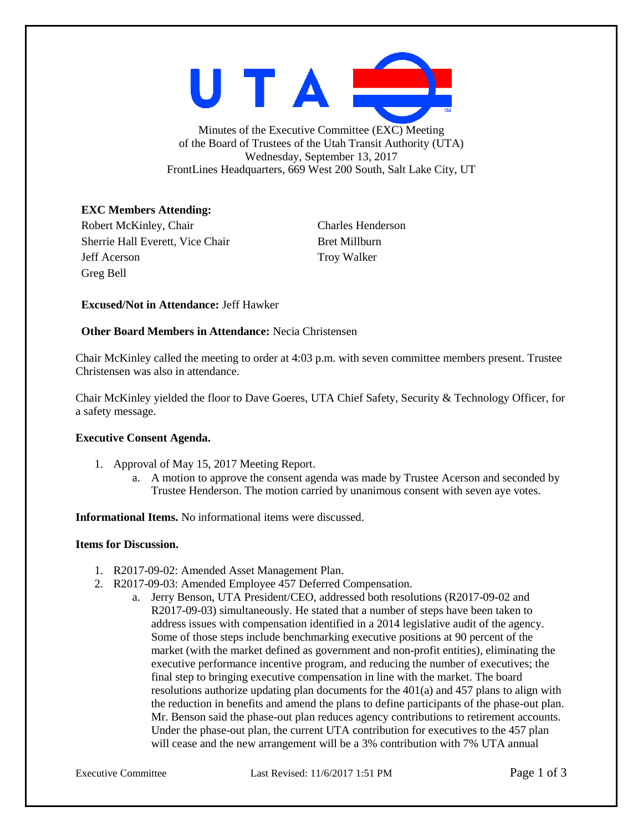

Minutes of the Executive Committee (EXC) Meeting of the Board of Trustees of the Utah Transit Authority (UTA) Wednesday, September 13, 2017 FrontLines Headquarters, 669 West 200 South, Salt Lake City, UT

# **EXC Members Attending:**

Robert McKinley, Chair Charles Henderson Sherrie Hall Everett, Vice Chair Bret Millburn Jeff Acerson Troy Walker Greg Bell

## **Excused/Not in Attendance:** Jeff Hawker

## **Other Board Members in Attendance:** Necia Christensen

Chair McKinley called the meeting to order at 4:03 p.m. with seven committee members present. Trustee Christensen was also in attendance.

Chair McKinley yielded the floor to Dave Goeres, UTA Chief Safety, Security & Technology Officer, for a safety message.

### **Executive Consent Agenda.**

- 1. Approval of May 15, 2017 Meeting Report.
	- a. A motion to approve the consent agenda was made by Trustee Acerson and seconded by Trustee Henderson. The motion carried by unanimous consent with seven aye votes.

**Informational Items.** No informational items were discussed.

### **Items for Discussion.**

- 1. R2017-09-02: Amended Asset Management Plan.
- 2. R2017-09-03: Amended Employee 457 Deferred Compensation.
	- a. Jerry Benson, UTA President/CEO, addressed both resolutions (R2017-09-02 and R2017-09-03) simultaneously. He stated that a number of steps have been taken to address issues with compensation identified in a 2014 legislative audit of the agency. Some of those steps include benchmarking executive positions at 90 percent of the market (with the market defined as government and non-profit entities), eliminating the executive performance incentive program, and reducing the number of executives; the final step to bringing executive compensation in line with the market. The board resolutions authorize updating plan documents for the 401(a) and 457 plans to align with the reduction in benefits and amend the plans to define participants of the phase-out plan. Mr. Benson said the phase-out plan reduces agency contributions to retirement accounts. Under the phase-out plan, the current UTA contribution for executives to the 457 plan will cease and the new arrangement will be a 3% contribution with 7% UTA annual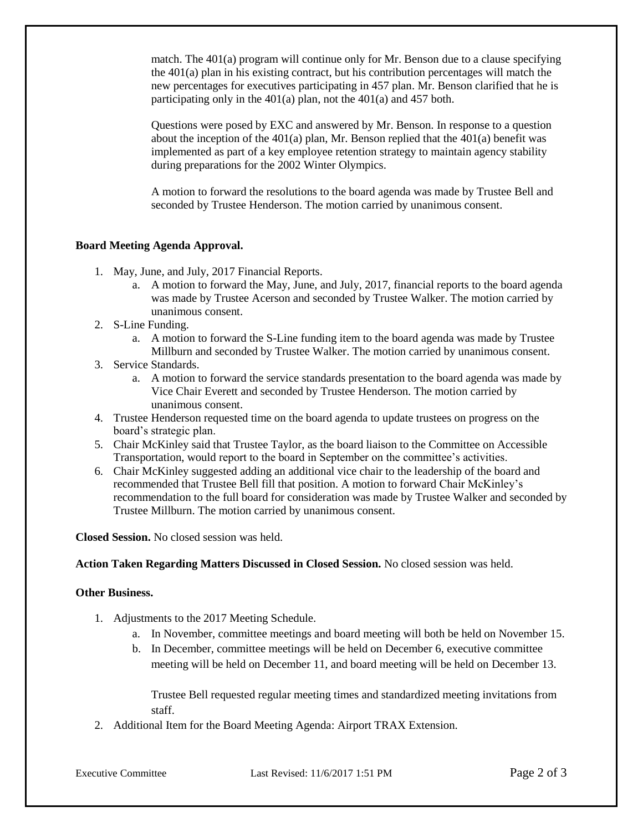match. The 401(a) program will continue only for Mr. Benson due to a clause specifying the 401(a) plan in his existing contract, but his contribution percentages will match the new percentages for executives participating in 457 plan. Mr. Benson clarified that he is participating only in the 401(a) plan, not the 401(a) and 457 both.

Questions were posed by EXC and answered by Mr. Benson. In response to a question about the inception of the  $401(a)$  plan, Mr. Benson replied that the  $401(a)$  benefit was implemented as part of a key employee retention strategy to maintain agency stability during preparations for the 2002 Winter Olympics.

A motion to forward the resolutions to the board agenda was made by Trustee Bell and seconded by Trustee Henderson. The motion carried by unanimous consent.

## **Board Meeting Agenda Approval.**

- 1. May, June, and July, 2017 Financial Reports.
	- a. A motion to forward the May, June, and July, 2017, financial reports to the board agenda was made by Trustee Acerson and seconded by Trustee Walker. The motion carried by unanimous consent.
- 2. S-Line Funding.
	- a. A motion to forward the S-Line funding item to the board agenda was made by Trustee Millburn and seconded by Trustee Walker. The motion carried by unanimous consent.
- 3. Service Standards.
	- a. A motion to forward the service standards presentation to the board agenda was made by Vice Chair Everett and seconded by Trustee Henderson. The motion carried by unanimous consent.
- 4. Trustee Henderson requested time on the board agenda to update trustees on progress on the board's strategic plan.
- 5. Chair McKinley said that Trustee Taylor, as the board liaison to the Committee on Accessible Transportation, would report to the board in September on the committee's activities.
- 6. Chair McKinley suggested adding an additional vice chair to the leadership of the board and recommended that Trustee Bell fill that position. A motion to forward Chair McKinley's recommendation to the full board for consideration was made by Trustee Walker and seconded by Trustee Millburn. The motion carried by unanimous consent.

**Closed Session.** No closed session was held.

**Action Taken Regarding Matters Discussed in Closed Session.** No closed session was held.

## **Other Business.**

- 1. Adjustments to the 2017 Meeting Schedule.
	- a. In November, committee meetings and board meeting will both be held on November 15.
	- b. In December, committee meetings will be held on December 6, executive committee meeting will be held on December 11, and board meeting will be held on December 13.

Trustee Bell requested regular meeting times and standardized meeting invitations from staff.

2. Additional Item for the Board Meeting Agenda: Airport TRAX Extension.